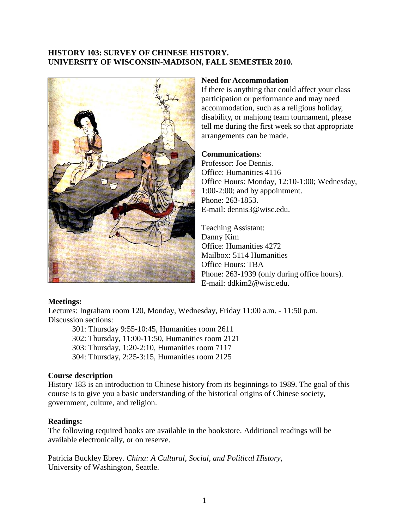## **HISTORY 103: SURVEY OF CHINESE HISTORY. UNIVERSITY OF WISCONSIN-MADISON, FALL SEMESTER 2010.**



### **Need for Accommodation**

If there is anything that could affect your class participation or performance and may need accommodation, such as a religious holiday, disability, or mahjong team tournament, please tell me during the first week so that appropriate arrangements can be made.

## **Communications**:

Professor: Joe Dennis. Office: Humanities 4116 Office Hours: Monday, 12:10-1:00; Wednesday, 1:00-2:00; and by appointment. Phone: 263-1853. E-mail: dennis3@wisc.edu.

Teaching Assistant: Danny Kim Office: Humanities 4272 Mailbox: 5114 Humanities Office Hours: TBA Phone: 263-1939 (only during office hours). E-mail: ddkim2@wisc.edu.

### **Meetings:**

Lectures: Ingraham room 120, Monday, Wednesday, Friday 11:00 a.m. - 11:50 p.m. Discussion sections:

301: Thursday 9:55-10:45, Humanities room 2611 302: Thursday, 11:00-11:50, Humanities room 2121 303: Thursday, 1:20-2:10, Humanities room 7117 304: Thursday, 2:25-3:15, Humanities room 2125

# **Course description**

History 183 is an introduction to Chinese history from its beginnings to 1989. The goal of this course is to give you a basic understanding of the historical origins of Chinese society, government, culture, and religion.

### **Readings:**

The following required books are available in the bookstore. Additional readings will be available electronically, or on reserve.

Patricia Buckley Ebrey. *China: A Cultural, Social, and Political History*, University of Washington, Seattle.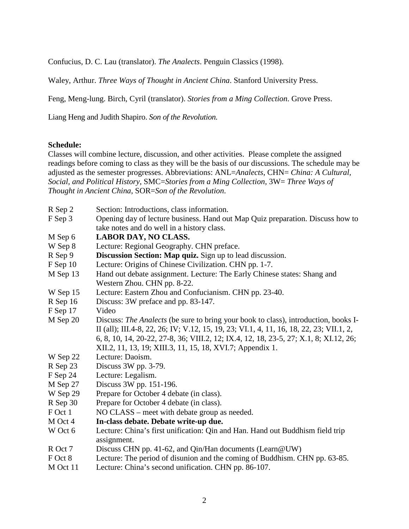[Confucius,](http://www.amazon.com/exec/obidos/search-handle-url/105-9184518-1134843?%5Fencoding=UTF8&search-type=ss&index=books&field-author=Confucius) [D. C. Lau](http://www.amazon.com/exec/obidos/search-handle-url/105-9184518-1134843?%5Fencoding=UTF8&search-type=ss&index=books&field-author=D.%20C.%20Lau) (translator). *The Analects*. Penguin Classics (1998).

[Waley,](http://www.amazon.com/exec/obidos/search-handle-url/105-9184518-1134843?%5Fencoding=UTF8&search-type=ss&index=books&field-author=Arthur%20Waley) Arthur. *Three Ways of Thought in Ancient China*. Stanford University Press.

Feng, Meng-lung. Birch, Cyril (translator). *Stories from a Ming Collection*. Grove Press.

Liang Heng and Judith Shapiro. *Son of the Revolution.*

#### **Schedule:**

Classes will combine lecture, discussion, and other activities. Please complete the assigned readings before coming to class as they will be the basis of our discussions. The schedule may be adjusted as the semester progresses. Abbreviations: ANL=*Analects*, CHN= *China: A Cultural, Social, and Political History*, SMC=*Stories from a Ming Collection*, 3W= *Three Ways of Thought in Ancient China*, SOR=*Son of the Revolution*.

| R Sep 2                | Section: Introductions, class information.                                              |
|------------------------|-----------------------------------------------------------------------------------------|
| F Sep 3                | Opening day of lecture business. Hand out Map Quiz preparation. Discuss how to          |
|                        | take notes and do well in a history class.                                              |
| M Sep 6                | <b>LABOR DAY, NO CLASS.</b>                                                             |
| W Sep 8                | Lecture: Regional Geography. CHN preface.                                               |
| R Sep 9                | Discussion Section: Map quiz. Sign up to lead discussion.                               |
| $F$ Sep 10             | Lecture: Origins of Chinese Civilization. CHN pp. 1-7.                                  |
| M Sep 13               | Hand out debate assignment. Lecture: The Early Chinese states: Shang and                |
|                        | Western Zhou. CHN pp. 8-22.                                                             |
| W Sep 15               | Lecture: Eastern Zhou and Confucianism. CHN pp. 23-40.                                  |
| $R$ Sep 16             | Discuss: 3W preface and pp. 83-147.                                                     |
| $F$ Sep 17             | Video                                                                                   |
| M Sep 20               | Discuss: The Analects (be sure to bring your book to class), introduction, books I-     |
|                        | II (all); III.4-8, 22, 26; IV; V.12, 15, 19, 23; VI.1, 4, 11, 16, 18, 22, 23; VII.1, 2, |
|                        | 6, 8, 10, 14, 20-22, 27-8, 36; VIII.2, 12; IX.4, 12, 18, 23-5, 27; X.1, 8; XI.12, 26;   |
|                        | XII.2, 11, 13, 19; XIII.3, 11, 15, 18, XVI.7; Appendix 1.                               |
| W Sep 22               | Lecture: Daoism.                                                                        |
| R Sep 23               | Discuss 3W pp. 3-79.                                                                    |
| F Sep 24               | Lecture: Legalism.                                                                      |
| M Sep 27               | Discuss 3W pp. 151-196.                                                                 |
| W Sep 29               | Prepare for October 4 debate (in class).                                                |
| R Sep 30               | Prepare for October 4 debate (in class).                                                |
| F Oct 1                | NO CLASS – meet with debate group as needed.                                            |
| M Oct 4                | In-class debate. Debate write-up due.                                                   |
| W Oct 6                | Lecture: China's first unification: Qin and Han. Hand out Buddhism field trip           |
|                        | assignment.                                                                             |
| R Oct 7                | Discuss CHN pp. 41-62, and Qin/Han documents (Learn@UW)                                 |
| F Oct 8                | Lecture: The period of disunion and the coming of Buddhism. CHN pp. 63-85.              |
| $M \Omega_{\alpha+11}$ | Lootum $Chino's$ second unification $CIM$ and $QC$ 107                                  |

M Oct 11 Lecture: China's second unification. CHN pp. 86-107.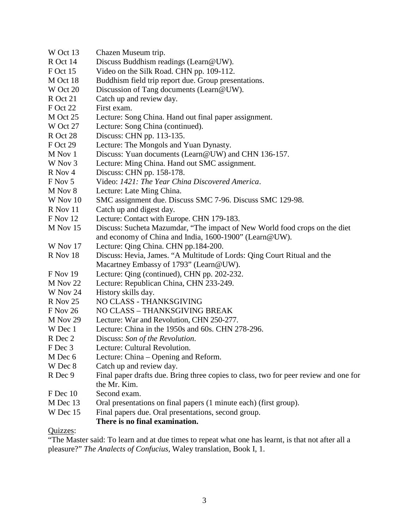- W Oct 13 Chazen Museum trip.
- R Oct 14 Discuss Buddhism readings (Learn@UW).
- F Oct 15 Video on the Silk Road. CHN pp. 109-112.
- M Oct 18 Buddhism field trip report due. Group presentations.
- W Oct 20 Discussion of Tang documents (Learn@UW).
- R Oct 21 Catch up and review day.
- F Oct 22 First exam.
- M Oct 25 Lecture: Song China. Hand out final paper assignment.
- W Oct 27 Lecture: Song China (continued).
- R Oct 28 Discuss: CHN pp. 113-135.
- F Oct 29 Lecture: The Mongols and Yuan Dynasty.
- M Nov 1 Discuss: Yuan documents (Learn@UW) and CHN 136-157.
- W Nov 3 Lecture: Ming China. Hand out SMC assignment.
- R Nov 4 Discuss: CHN pp. 158-178.
- F Nov 5 Video: *1421: The Year China Discovered America*.
- M Nov 8 Lecture: Late Ming China.
- W Nov 10 SMC assignment due. Discuss SMC 7-96. Discuss SMC 129-98.
- R Nov 11 Catch up and digest day.
- F Nov 12 Lecture: Contact with Europe. CHN 179-183.
- M Nov 15 Discuss: Sucheta Mazumdar, "The impact of New World food crops on the diet and economy of China and India, 1600-1900" (Learn@UW).
- W Nov 17 Lecture: Qing China. CHN pp.184-200.
- R Nov 18 Discuss: Hevia, James. "A Multitude of Lords: Qing Court Ritual and the Macartney Embassy of 1793" (Learn@UW).
- F Nov 19 Lecture: Qing (continued), CHN pp. 202-232.
- M Nov 22 Lecture: Republican China, CHN 233-249.
- W Nov 24 History skills day.
- R Nov 25 NO CLASS THANKSGIVING
- F Nov 26 NO CLASS THANKSGIVING BREAK
- M Nov 29 Lecture: War and Revolution, CHN 250-277.
- W Dec 1 Lecture: China in the 1950s and 60s, CHN 278-296.
- R Dec 2 Discuss: *Son of the Revolution*.
- F Dec 3 Lecture: Cultural Revolution.
- M Dec 6 Lecture: China Opening and Reform.
- W Dec 8 Catch up and review day.
- R Dec 9 Final paper drafts due. Bring three copies to class, two for peer review and one for the Mr. Kim.
- F Dec 10 Second exam.
- M Dec 13 Oral presentations on final papers (1 minute each) (first group).
- W Dec 15 Final papers due. Oral presentations, second group.

# **There is no final examination.**

# Quizzes:

"The Master said: To learn and at due times to repeat what one has learnt, is that not after all a pleasure?" *The Analects of Confucius*, Waley translation, Book I, 1.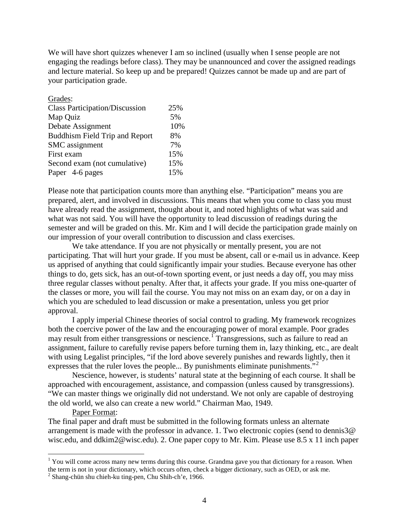We will have short quizzes whenever I am so inclined (usually when I sense people are not engaging the readings before class). They may be unannounced and cover the assigned readings and lecture material. So keep up and be prepared! Quizzes cannot be made up and are part of your participation grade.

| Grades:                               |     |
|---------------------------------------|-----|
| <b>Class Participation/Discussion</b> | 25% |
| Map Quiz                              | 5%  |
| Debate Assignment                     | 10% |
| Buddhism Field Trip and Report        | 8%  |
| SMC assignment                        | 7%  |
| First exam                            | 15% |
| Second exam (not cumulative)          | 15% |
| Paper 4-6 pages                       | 15% |

Please note that participation counts more than anything else. "Participation" means you are prepared, alert, and involved in discussions. This means that when you come to class you must have already read the assignment, thought about it, and noted highlights of what was said and what was not said. You will have the opportunity to lead discussion of readings during the semester and will be graded on this. Mr. Kim and I will decide the participation grade mainly on our impression of your overall contribution to discussion and class exercises.

We take attendance. If you are not physically or mentally present, you are not participating. That will hurt your grade. If you must be absent, call or e-mail us in advance. Keep us apprised of anything that could significantly impair your studies. Because everyone has other things to do, gets sick, has an out-of-town sporting event, or just needs a day off, you may miss three regular classes without penalty. After that, it affects your grade. If you miss one-quarter of the classes or more, you will fail the course. You may not miss on an exam day, or on a day in which you are scheduled to lead discussion or make a presentation, unless you get prior approval.

I apply imperial Chinese theories of social control to grading. My framework recognizes both the coercive power of the law and the encouraging power of moral example. Poor grades may result from either transgressions or nescience.<sup>[1](#page-3-0)</sup> Transgressions, such as failure to read an assignment, failure to carefully revise papers before turning them in, lazy thinking, etc., are dealt with using Legalist principles, "if the lord above severely punishes and rewards lightly, then it expresses that the ruler loves the people... By punishments eliminate punishments."<sup>[2](#page-3-1)</sup>

Nescience, however, is students' natural state at the beginning of each course. It shall be approached with encouragement, assistance, and compassion (unless caused by transgressions). "We can master things we originally did not understand. We not only are capable of destroying the old world, we also can create a new world." Chairman Mao, 1949.

#### Paper Format:

The final paper and draft must be submitted in the following formats unless an alternate arrangement is made with the professor in advance. 1. Two electronic copies (send to dennis3@ wisc.edu, and ddkim2@wisc.edu). 2. One paper copy to Mr. Kim. Please use 8.5 x 11 inch paper

<span id="page-3-0"></span><sup>&</sup>lt;sup>1</sup> You will come across many new terms during this course. Grandma gave you that dictionary for a reason. When the term is not in your dictionary, which occurs often, check a bigger dictionary, such as OED, or ask me.

<span id="page-3-1"></span><sup>2</sup> Shang-chün shu chieh-ku ting-pen, Chu Shih-ch'e, 1966.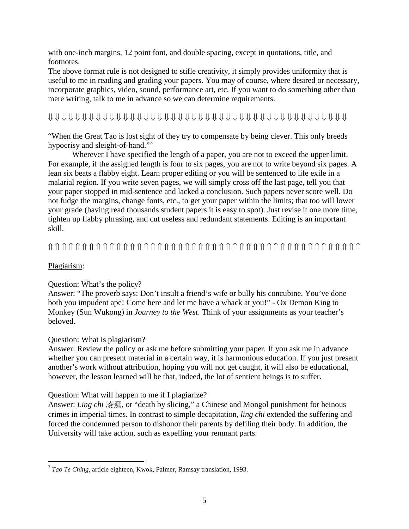with one-inch margins, 12 point font, and double spacing, except in quotations, title, and footnotes.

The above format rule is not designed to stifle creativity, it simply provides uniformity that is useful to me in reading and grading your papers. You may of course, where desired or necessary, incorporate graphics, video, sound, performance art, etc. If you want to do something other than mere writing, talk to me in advance so we can determine requirements.

# ⇓ ⇓ ⇓ ⇓ ⇓ ⇓ ⇓ ⇓ ⇓ ⇓ ⇓ ⇓ ⇓ ⇓ ⇓ ⇓ ⇓ ⇓ ⇓ ⇓ ⇓ ⇓ ⇓ ⇓ ⇓ ⇓ ⇓ ⇓ ⇓ ⇓ ⇓ ⇓ ⇓ ⇓ ⇓ ⇓ ⇓ ⇓ ⇓ ⇓ ⇓ ⇓ ⇓ ⇓

"When the Great Tao is lost sight of they try to compensate by being clever. This only breeds hypocrisy and sleight-of-hand."<sup>[3](#page-4-0)</sup>

Wherever I have specified the length of a paper, you are not to exceed the upper limit. For example, if the assigned length is four to six pages, you are not to write beyond six pages. A lean six beats a flabby eight. Learn proper editing or you will be sentenced to life exile in a malarial region. If you write seven pages, we will simply cross off the last page, tell you that your paper stopped in mid-sentence and lacked a conclusion. Such papers never score well. Do not fudge the margins, change fonts, etc., to get your paper within the limits; that too will lower your grade (having read thousands student papers it is easy to spot). Just revise it one more time, tighten up flabby phrasing, and cut useless and redundant statements. Editing is an important skill.

# ⇑ ⇑ ⇑ ⇑ ⇑ ⇑ ⇑ ⇑ ⇑ ⇑ ⇑ ⇑ ⇑ ⇑ ⇑ ⇑ ⇑ ⇑ ⇑ ⇑ ⇑ ⇑ ⇑ ⇑ ⇑ ⇑ ⇑ ⇑ ⇑ ⇑ ⇑ ⇑ ⇑ ⇑ ⇑ ⇑ ⇑ ⇑ ⇑ ⇑ ⇑ ⇑ ⇑ ⇑ ⇑ ⇑

# Plagiarism:

# Question: What's the policy?

Answer: "The proverb says: Don't insult a friend's wife or bully his concubine. You've done both you impudent ape! Come here and let me have a whack at you!" - Ox Demon King to Monkey (Sun Wukong) in *Journey to the West*. Think of your assignments as your teacher's beloved.

### Question: What is plagiarism?

Answer: Review the policy or ask me before submitting your paper. If you ask me in advance whether you can present material in a certain way, it is harmonious education. If you just present another's work without attribution, hoping you will not get caught, it will also be educational, however, the lesson learned will be that, indeed, the lot of sentient beings is to suffer.

# Question: What will happen to me if I plagiarize?

Answer: *Ling chi* 凌遲, or "death by slicing," a Chinese and Mongol punishment for heinous crimes in imperial times. In contrast to simple decapitation, *ling chi* extended the suffering and forced the condemned person to dishonor their parents by defiling their body. In addition, the University will take action, such as expelling your remnant parts.

<span id="page-4-0"></span> <sup>3</sup> *Tao Te Ching,* article eighteen, Kwok, Palmer, Ramsay translation, 1993.